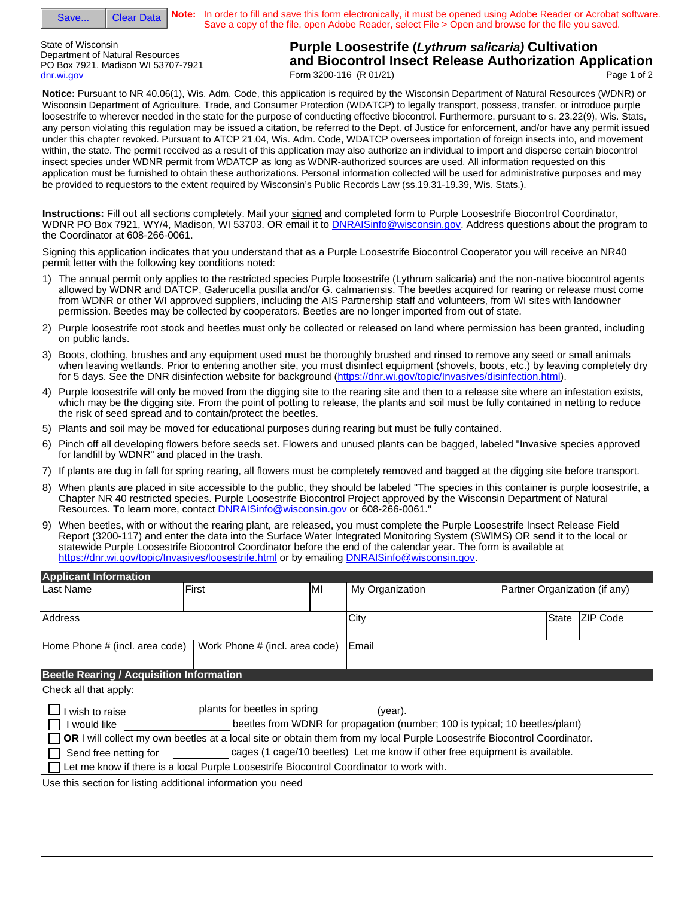| Save |  |
|------|--|
|      |  |

**Clear Data** 

**Note:** In order to fill and save this form electronically, it must be opened using Adobe Reader or Acrobat software. Save a copy of the file, open Adobe Reader, select File > Open and browse for the file you saved.

State of Wisconsin Department of Natural Resources PO Box 7921, Madison WI 53707-7921 dnr.wi.gov

**Purple Loosestrife (***Lythrum salicaria)* **Cultivation and Biocontrol Insect Release Authorization Application** Form 3200-116 (R 01/21) Page 1 of 2

**Notice:** Pursuant to NR 40.06(1), Wis. Adm. Code, this application is required by the Wisconsin Department of Natural Resources (WDNR) or Wisconsin Department of Agriculture, Trade, and Consumer Protection (WDATCP) to legally transport, possess, transfer, or introduce purple loosestrife to wherever needed in the state for the purpose of conducting effective biocontrol. Furthermore, pursuant to s. 23.22(9), Wis. Stats, any person violating this regulation may be issued a citation, be referred to the Dept. of Justice for enforcement, and/or have any permit issued under this chapter revoked. Pursuant to ATCP 21.04, Wis. Adm. Code, WDATCP oversees importation of foreign insects into, and movement within, the state. The permit received as a result of this application may also authorize an individual to import and disperse certain biocontrol insect species under WDNR permit from WDATCP as long as WDNR-authorized sources are used. All information requested on this application must be furnished to obtain these authorizations. Personal information collected will be used for administrative purposes and may be provided to requestors to the extent required by Wisconsin's Public Records Law (ss.19.31-19.39, Wis. Stats.).

**Instructions:** Fill out all sections completely. Mail your signed and completed form to Purple Loosestrife Biocontrol Coordinator, WDNR PO Box 7921, WY/4, Madison, WI 53703. OR email it to **DNRAISinfo@wisconsin.gov**. Address questions about the program to the Coordinator at 608-266-0061.

Signing this application indicates that you understand that as a Purple Loosestrife Biocontrol Cooperator you will receive an NR40 permit letter with the following key conditions noted:

- 1) The annual permit only applies to the restricted species Purple loosestrife (Lythrum salicaria) and the non-native biocontrol agents allowed by WDNR and DATCP, Galerucella pusilla and/or G. calmariensis. The beetles acquired for rearing or release must come from WDNR or other WI approved suppliers, including the AIS Partnership staff and volunteers, from WI sites with landowner permission. Beetles may be collected by cooperators. Beetles are no longer imported from out of state.
- 2) Purple loosestrife root stock and beetles must only be collected or released on land where permission has been granted, including on public lands.
- 3) Boots, clothing, brushes and any equipment used must be thoroughly brushed and rinsed to remove any seed or small animals when leaving wetlands. Prior to entering another site, you must disinfect equipment (shovels, boots, etc.) by leaving completely dry for 5 days. See the DNR disinfection website for background (https://dnr.wi.gov/topic/Invasives/disinfection.html).
- 4) Purple loosestrife will only be moved from the digging site to the rearing site and then to a release site where an infestation exists, which may be the digging site. From the point of potting to release, the plants and soil must be fully contained in netting to reduce the risk of seed spread and to contain/protect the beetles.
- 5) Plants and soil may be moved for educational purposes during rearing but must be fully contained.
- 6) Pinch off all developing flowers before seeds set. Flowers and unused plants can be bagged, labeled "Invasive species approved for landfill by WDNR" and placed in the trash.
- 7) If plants are dug in fall for spring rearing, all flowers must be completely removed and bagged at the digging site before transport.
- 8) When plants are placed in site accessible to the public, they should be labeled "The species in this container is purple loosestrife, a Chapter NR 40 restricted species. Purple Loosestrife Biocontrol Project approved by the Wisconsin Department of Natural Resources. To learn more, contact **DNRAISinfo@wisconsin.gov** or 608-266-0061.
- 9) When beetles, with or without the rearing plant, are released, you must complete the Purple Loosestrife Insect Release Field Report (3200-117) and enter the data into the Surface Water Integrated Monitoring System (SWIMS) OR send it to the local or statewide Purple Loosestrife Biocontrol Coordinator before the end of the calendar year. The form is available at https://dnr.wi.gov/topic/Invasives/loosestrife.html or by emailing DNRAISinfo@wisconsin.gov.

| <b>Applicant Information</b>                                  |                                                                                                                                                          |     |                                                                                                                                                                        |                               |  |  |
|---------------------------------------------------------------|----------------------------------------------------------------------------------------------------------------------------------------------------------|-----|------------------------------------------------------------------------------------------------------------------------------------------------------------------------|-------------------------------|--|--|
| Last Name                                                     | First                                                                                                                                                    | lMI | My Organization                                                                                                                                                        | Partner Organization (if any) |  |  |
| Address                                                       |                                                                                                                                                          |     | City                                                                                                                                                                   | <b>IZIP Code</b><br>State     |  |  |
| Home Phone # (incl. area code)                                | Work Phone # (incl. area code)                                                                                                                           |     | Email                                                                                                                                                                  |                               |  |  |
| <b>Beetle Rearing / Acquisition Information</b>               |                                                                                                                                                          |     |                                                                                                                                                                        |                               |  |  |
| Check all that apply:                                         |                                                                                                                                                          |     |                                                                                                                                                                        |                               |  |  |
| wish to raise<br>would like                                   | plants for beetles in spring<br>OR I will collect my own beetles at a local site or obtain them from my local Purple Loosestrife Biocontrol Coordinator. |     | (year).<br>beetles from WDNR for propagation (number; 100 is typical; 10 beetles/plant)<br>cages (1 cage/10 beetles) Let me know if other free equipment is available. |                               |  |  |
| Send free netting for                                         |                                                                                                                                                          |     |                                                                                                                                                                        |                               |  |  |
|                                                               | Let me know if there is a local Purple Loosestrife Biocontrol Coordinator to work with.                                                                  |     |                                                                                                                                                                        |                               |  |  |
| Llea this saction for listing additional information you need |                                                                                                                                                          |     |                                                                                                                                                                        |                               |  |  |

Use this section for listing additional information you need